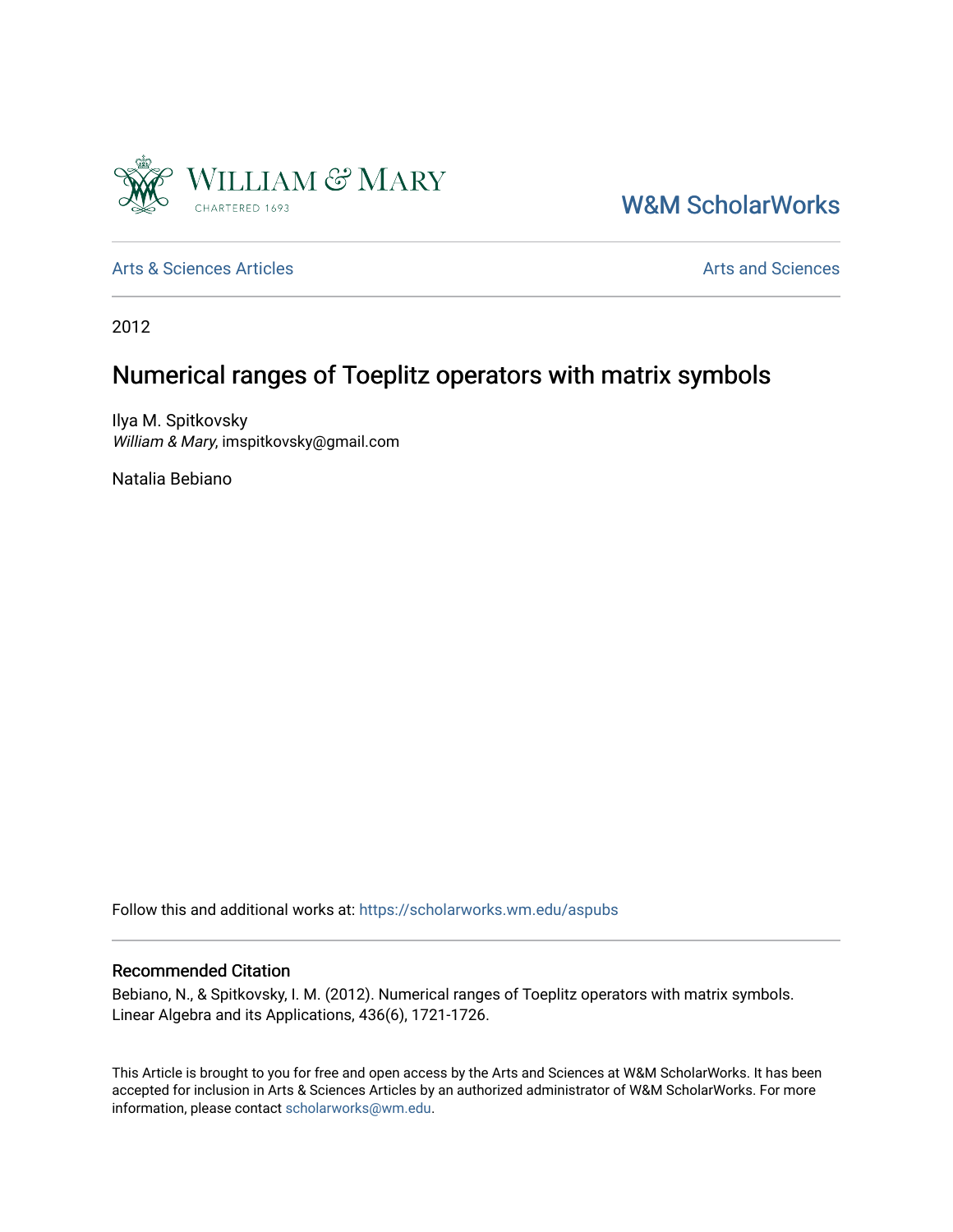

[W&M ScholarWorks](https://scholarworks.wm.edu/) 

[Arts & Sciences Articles](https://scholarworks.wm.edu/aspubs) **Articles** [Arts and Sciences](https://scholarworks.wm.edu/as) Articles Arts and Sciences Arts and Sciences

2012

# Numerical ranges of Toeplitz operators with matrix symbols

Ilya M. Spitkovsky William & Mary, imspitkovsky@gmail.com

Natalia Bebiano

Follow this and additional works at: [https://scholarworks.wm.edu/aspubs](https://scholarworks.wm.edu/aspubs?utm_source=scholarworks.wm.edu%2Faspubs%2F1584&utm_medium=PDF&utm_campaign=PDFCoverPages) 

## Recommended Citation

Bebiano, N., & Spitkovsky, I. M. (2012). Numerical ranges of Toeplitz operators with matrix symbols. Linear Algebra and its Applications, 436(6), 1721-1726.

This Article is brought to you for free and open access by the Arts and Sciences at W&M ScholarWorks. It has been accepted for inclusion in Arts & Sciences Articles by an authorized administrator of W&M ScholarWorks. For more information, please contact [scholarworks@wm.edu](mailto:scholarworks@wm.edu).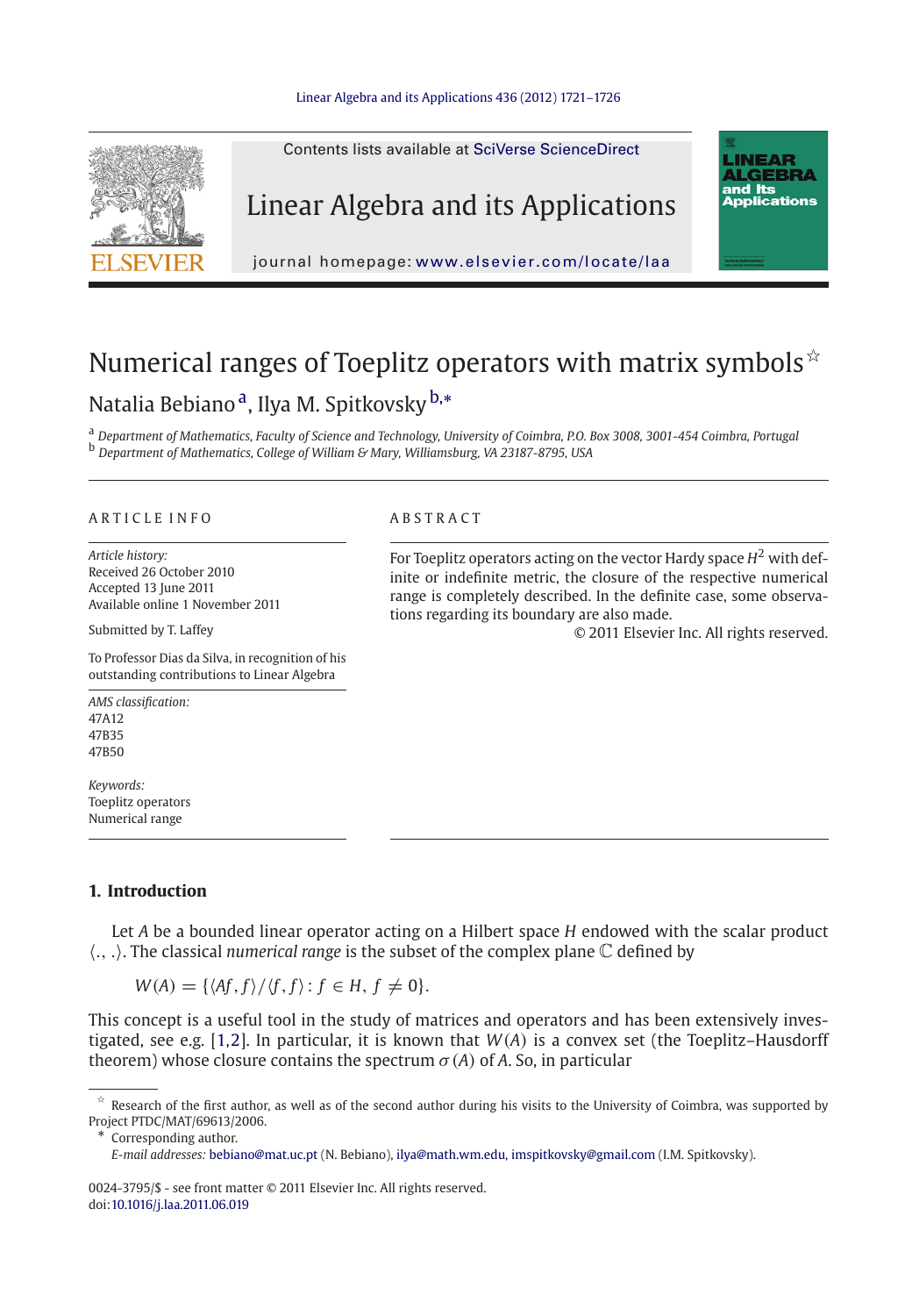### [Linear Algebra and its Applications 436 \(2012\) 1721–1726](http://dx.doi.org/10.1016/j.laa.2011.06.019)



## Numerical ranges of Toeplitz operators with matrix symbols  $\dot{x}$ Natalia Bebiano<sup>a</sup>, Ilya M. Spitkovsky <sup>b,∗</sup>

<sup>a</sup> *Department of Mathematics, Faculty of Science and Technology, University of Coimbra, P.O. Box 3008, 3001-454 Coimbra, Portugal* <sup>b</sup> *Department of Mathematics, College of William & Mary, Williamsburg, VA 23187-8795, USA*

### ARTICLE INFO ABSTRACT

*Article history:* Received 26 October 2010 Accepted 13 June 2011 Available online 1 November 2011

Submitted by T. Laffey

To Professor Dias da Silva, in recognition of his outstanding contributions to Linear Algebra

For Toeplitz operators acting on the vector Hardy space  $H^2$  with definite or indefinite metric, the closure of the respective numerical range is completely described. In the definite case, some observations regarding its boundary are also made.

© 2011 Elsevier Inc. All rights reserved.

*AMS classification:* 47A12 47B35 47B50

*Keywords:* Toeplitz operators Numerical range

### **1. Introduction**

Let *A* be a bounded linear operator acting on a Hilbert space *H* endowed with the scalar product -., .. The classical *numerical range* is the subset of the complex plane C defined by

 $W(A) = \{ \langle Af, f \rangle / \langle f, f \rangle : f \in H, f \neq 0 \}.$ 

This concept is a useful tool in the study of matrices and operators and has been extensively investigated, see e.g. [\[1](#page-6-0)[,2](#page-6-1)]. In particular, it is known that *W*(*A*) is a convex set (the Toeplitz–Hausdorff theorem) whose closure contains the spectrum  $\sigma(A)$  of A. So, in particular

Corresponding author.

0024-3795/\$ - see front matter © 2011 Elsevier Inc. All rights reserved. doi[:10.1016/j.laa.2011.06.019](http://dx.doi.org/10.1016/j.laa.2011.06.019)

 $*$  Research of the first author, as well as of the second author during his visits to the University of Coimbra, was supported by Project PTDC/MAT/69613/2006.

*E-mail addresses:* bebiano@mat.uc.pt (N. Bebiano), ilya@math.wm.edu, imspitkovsky@gmail.com (I.M. Spitkovsky).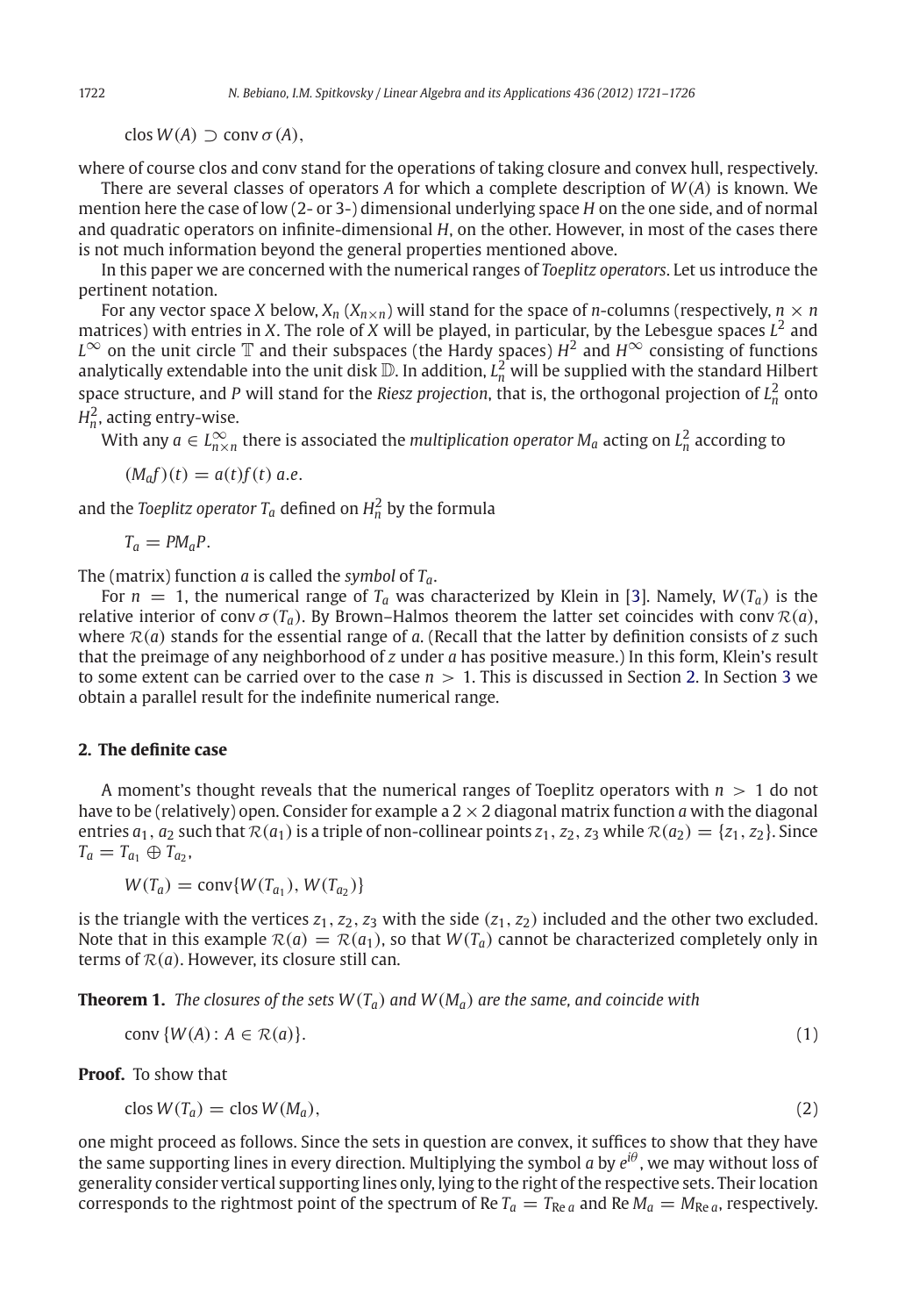$\text{clos } W(A) \supset \text{conv } \sigma(A),$ 

where of course clos and conv stand for the operations of taking closure and convex hull, respectively.

There are several classes of operators *A* for which a complete description of *W*(*A*) is known. We mention here the case of low (2- or 3-) dimensional underlying space *H* on the one side, and of normal and quadratic operators on infinite-dimensional *H*, on the other. However, in most of the cases there is not much information beyond the general properties mentioned above.

In this paper we are concerned with the numerical ranges of *Toeplitz operators*. Let us introduce the pertinent notation.

For any vector space *X* below,  $X_n$  ( $X_{n\times n}$ ) will stand for the space of *n*-columns (respectively,  $n \times n$ matrices) with entries in *X*. The role of *X* will be played, in particular, by the Lebesgue spaces  $L^2$  and *L*∞ on the unit circle  $\mathbb T$  and their subspaces (the Hardy spaces) *H*<sup>2</sup> and *H*<sup>∞</sup> consisting of functions analytically extendable into the unit disk  $\mathbb D$ . In addition,  $L_n^2$  will be supplied with the standard Hilbert space structure, and *P* will stand for the *Riesz projection*, that is, the orthogonal projection of  $L^2_n$  onto  $H_n^2$ , acting entry-wise.

With any  $a \in L^{\infty}_{n \times n}$  there is associated the *multiplication operator M<sub>a</sub>* acting on  $L^{2}_{n}$  according to

 $(M<sub>a</sub>f)(t) = a(t)f(t)$  *a.e.* 

and the *Toeplitz operator*  $T_a$  defined on  $H_n^2$  by the formula

 $T_a = PM_aP$ .

The (matrix) function *a* is called the *symbol* of *Ta*.

For  $n = 1$ , the numerical range of  $T_a$  was characterized by Klein in [\[3](#page-6-2)]. Namely,  $W(T_a)$  is the relative interior of conv  $\sigma(T_a)$ . By Brown–Halmos theorem the latter set coincides with conv  $\mathcal{R}(a)$ , where  $R(a)$  stands for the essential range of a. (Recall that the latter by definition consists of  $z$  such that the preimage of any neighborhood of *z* under *a* has positive measure.) In this form, Klein's result to some extent can be carried over to the case *n* > 1. This is discussed in Section [2.](#page-2-0) In Section [3](#page-4-0) we obtain a parallel result for the indefinite numerical range.

### <span id="page-2-0"></span>**2. The definite case**

A moment's thought reveals that the numerical ranges of Toeplitz operators with *n* > 1 do not have to be (relatively) open. Consider for example a 2×2 diagonal matrix function *a* with the diagonal entries  $a_1$ ,  $a_2$  such that  $\mathcal{R}(a_1)$  is a triple of non-collinear points  $z_1$ ,  $z_2$ ,  $z_3$  while  $\mathcal{R}(a_2) = \{z_1, z_2\}$ . Since  $T_a = T_{a_1} \oplus T_{a_2}$ 

$$
W(T_a) = \text{conv}\{W(T_{a_1}), W(T_{a_2})\}
$$

is the triangle with the vertices  $z_1$ ,  $z_2$ ,  $z_3$  with the side  $(z_1, z_2)$  included and the other two excluded. Note that in this example  $\mathcal{R}(a) = \mathcal{R}(a_1)$ , so that  $W(T_a)$  cannot be characterized completely only in terms of  $R(a)$ . However, its closure still can.

<span id="page-2-2"></span>**Theorem 1.** *The closures of the sets W*(*Ta*) *and W*(*Ma*) *are the same, and coincide with*

<span id="page-2-1"></span>
$$
conv\{W(A): A \in \mathcal{R}(a)\}.
$$
 (1)

<span id="page-2-3"></span>**Proof.** To show that

$$
\text{clos } W(T_a) = \text{clos } W(M_a), \tag{2}
$$

one might proceed as follows. Since the sets in question are convex, it suffices to show that they have the same supporting lines in every direction. Multiplying the symbol *a* by *ei*<sup>θ</sup> , we may without loss of generality consider vertical supporting lines only, lying to the right of the respective sets. Their location corresponds to the rightmost point of the spectrum of Re  $T_a = T_{Re a}$  and Re  $M_a = M_{Re a}$ , respectively.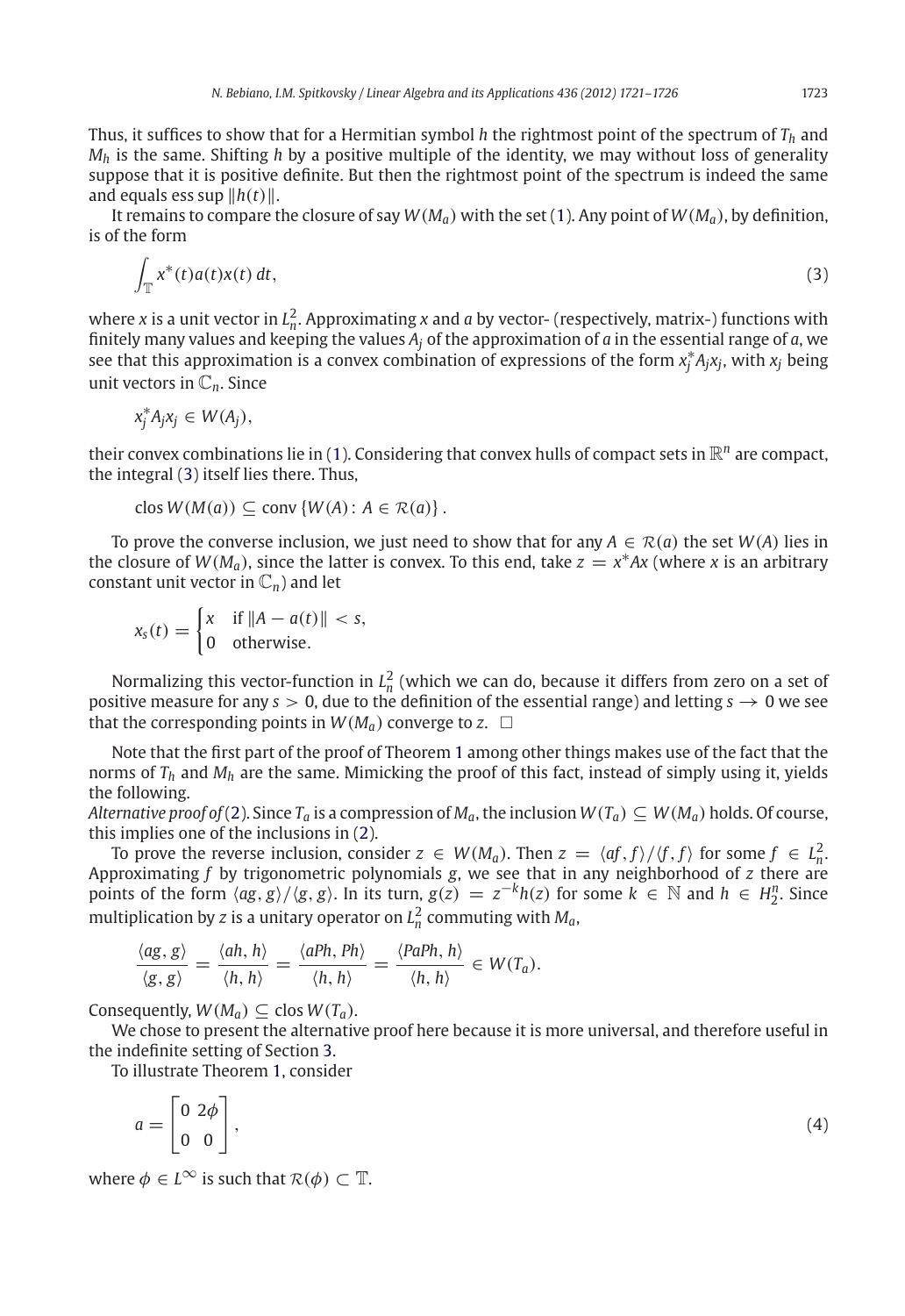Thus, it suffices to show that for a Hermitian symbol *h* the rightmost point of the spectrum of *Th* and *Mh* is the same. Shifting *h* by a positive multiple of the identity, we may without loss of generality suppose that it is positive definite. But then the rightmost point of the spectrum is indeed the same and equals ess sup  $||h(t)||$ .

<span id="page-3-0"></span>It remains to compare the closure of say  $W(M_a)$  with the set [\(1\)](#page-2-1). Any point of  $W(M_a)$ , by definition, is of the form

$$
\int_{\mathbb{T}} x^*(t) a(t) x(t) dt,
$$
\n(3)

where *x* is a unit vector in  $L_n^2$ . Approximating *x* and *a* by vector- (respectively, matrix-) functions with finitely many values and keeping the values *Aj* of the approximation of *a* in the essential range of *a*, we see that this approximation is a convex combination of expressions of the form *x*<sup>∗</sup> *<sup>j</sup> Ajxj*, with *xj* being unit vectors in C*n*. Since

$$
x_j^* A_j x_j \in W(A_j),
$$

their convex combinations lie in [\(1\)](#page-2-1). Considering that convex hulls of compact sets in  $\mathbb{R}^n$  are compact, the integral [\(3\)](#page-3-0) itself lies there. Thus,

$$
clos W(M(a)) \subseteq conv \{W(A) : A \in \mathcal{R}(a)\}.
$$

To prove the converse inclusion, we just need to show that for any  $A \in \mathcal{R}(a)$  the set  $W(A)$  lies in the closure of  $W(M_a)$ , since the latter is convex. To this end, take  $z = x^*Ax$  (where *x* is an arbitrary constant unit vector in  $\mathbb{C}_n$  and let

$$
x_s(t) = \begin{cases} x & \text{if } \|A - a(t)\| < s, \\ 0 & \text{otherwise.} \end{cases}
$$

Normalizing this vector-function in  $L_n^2$  (which we can do, because it differs from zero on a set of positive measure for any  $s > 0$ , due to the definition of the essential range) and letting  $s \to 0$  we see that the corresponding points in  $W(M_a)$  converge to  $z.$   $\Box$ 

Note that the first part of the proof of Theorem [1](#page-2-2) among other things makes use of the fact that the norms of *Th* and *Mh* are the same. Mimicking the proof of this fact, instead of simply using it, yields the following.

*Alternative proof of* [\(2\)](#page-2-3). Since  $T_a$  is a compression of  $M_a$ , the inclusion  $W(T_a) \subseteq W(M_a)$  holds. Of course, this implies one of the inclusions in [\(2\)](#page-2-3).

To prove the reverse inclusion, consider  $z \in W(M_a)$ . Then  $z = \langle af, f \rangle / \langle f, f \rangle$  for some  $f \in L^2_n$ . Approximating *f* by trigonometric polynomials *g*, we see that in any neighborhood of *z* there are points of the form  $\langle ag, g \rangle / \langle g, g \rangle$ . In its turn,  $g(z) = z^{-k}h(z)$  for some  $k \in \mathbb{N}$  and  $h \in H_2^n$ . Since multiplication by *z* is a unitary operator on  $L_n^2$  commuting with  $M_a$ ,

$$
\frac{\langle ag, g \rangle}{\langle g, g \rangle} = \frac{\langle ah, h \rangle}{\langle h, h \rangle} = \frac{\langle aPh, Ph \rangle}{\langle h, h \rangle} = \frac{\langle PaPh, h \rangle}{\langle h, h \rangle} \in W(T_a).
$$

Consequently,  $W(M_a) \subseteq \text{clos } W(T_a)$ .

We chose to present the alternative proof here because it is more universal, and therefore useful in the indefinite setting of Section [3.](#page-4-0)

To illustrate Theorem [1,](#page-2-2) consider

<span id="page-3-1"></span>
$$
a = \begin{bmatrix} 0 & 2\phi \\ 0 & 0 \end{bmatrix},\tag{4}
$$

where  $\phi \in L^{\infty}$  is such that  $\mathcal{R}(\phi) \subset \mathbb{T}$ .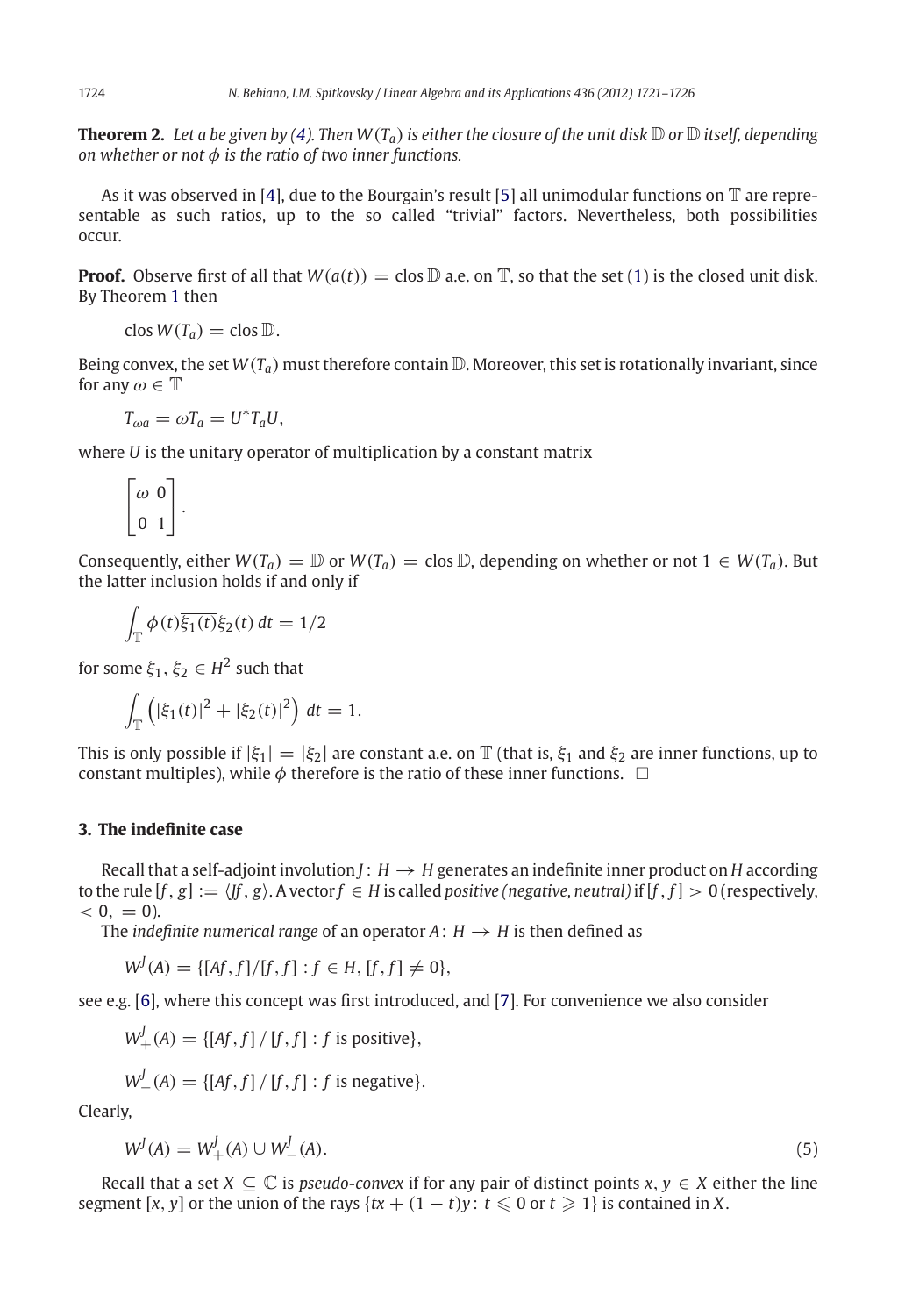**Theorem 2.** Let a be given by [\(4\)](#page-3-1). Then  $W(T_a)$  is either the closure of the unit disk  $\mathbb D$  or  $\mathbb D$  itself, depending *on whether or not* φ *is the ratio of two inner functions.*

As it was observed in [\[4](#page-6-3)], due to the Bourgain's result [\[5\]](#page-6-4) all unimodular functions on  $\mathbb T$  are representable as such ratios, up to the so called "trivial" factors. Nevertheless, both possibilities occur.

**Proof.** Observe first of all that  $W(a(t)) = \text{clos } \mathbb{D}$  a.e. on  $\mathbb{T}$ , so that the set [\(1\)](#page-2-1) is the closed unit disk. By Theorem [1](#page-2-2) then

 $\text{clos } W(T_a) = \text{clos } D.$ 

Being convex, the set  $W(T_a)$  must therefore contain  $\mathbb D$ . Moreover, this set is rotationally invariant, since for any  $\omega \in \mathbb{T}$ 

$$
T_{\omega a} = \omega T_a = U^* T_a U,
$$

where *U* is the unitary operator of multiplication by a constant matrix

$$
\begin{bmatrix} \omega & 0 \\ 0 & 1 \end{bmatrix}.
$$

Consequently, either  $W(T_a) = D$  or  $W(T_a) = \text{clos } D$ , depending on whether or not  $1 \in W(T_a)$ . But the latter inclusion holds if and only if

$$
\int_{\mathbb{T}} \phi(t) \overline{\xi_1(t)} \xi_2(t) dt = 1/2
$$

for some  $\xi_1, \xi_2 \in H^2$  such that

$$
\int_{\mathbb{T}} \left( |\xi_1(t)|^2 + |\xi_2(t)|^2 \right) dt = 1.
$$

This is only possible if  $|\xi_1| = |\xi_2|$  are constant a.e. on  $\mathbb T$  (that is,  $\xi_1$  and  $\xi_2$  are inner functions, up to constant multiples), while  $\phi$  therefore is the ratio of these inner functions.  $\;\;\Box$ 

### <span id="page-4-0"></span>**3. The indefinite case**

Recall that a self-adjoint involution  $J: H \rightarrow H$  generates an indefinite inner product on *H* according to the rule  $[f, g] := \langle f, g \rangle$ . A vector  $f \in H$  is called *positive (negative, neutral)* if  $[f, f] > 0$  (respectively,  $< 0, = 0$ ).

The *indefinite numerical range* of an operator  $A: H \rightarrow H$  is then defined as

 $W^{J}(A) = \{[Af, f]/[f, f] : f \in H, [f, f] \neq 0\},\$ 

see e.g. [\[6\]](#page-6-5), where this concept was first introduced, and [\[7\]](#page-6-6). For convenience we also consider

$$
W_+^J(A) = \{ [Af, f] / [f, f] : f \text{ is positive} \},
$$

$$
W_{-}^{J}(A) = \{ [Af, f] / [f, f] : f \text{ is negative} \}.
$$

<span id="page-4-1"></span>Clearly,

$$
W^{J}(A) = W^{J}_{+}(A) \cup W^{J}_{-}(A). \tag{5}
$$

Recall that a set  $X \subseteq \mathbb{C}$  is *pseudo-convex* if for any pair of distinct points  $x, y \in X$  either the line segment  $[x, y]$  or the union of the rays  $\{tx + (1 - t)y : t \leq 0 \text{ or } t \geq 1\}$  is contained in X.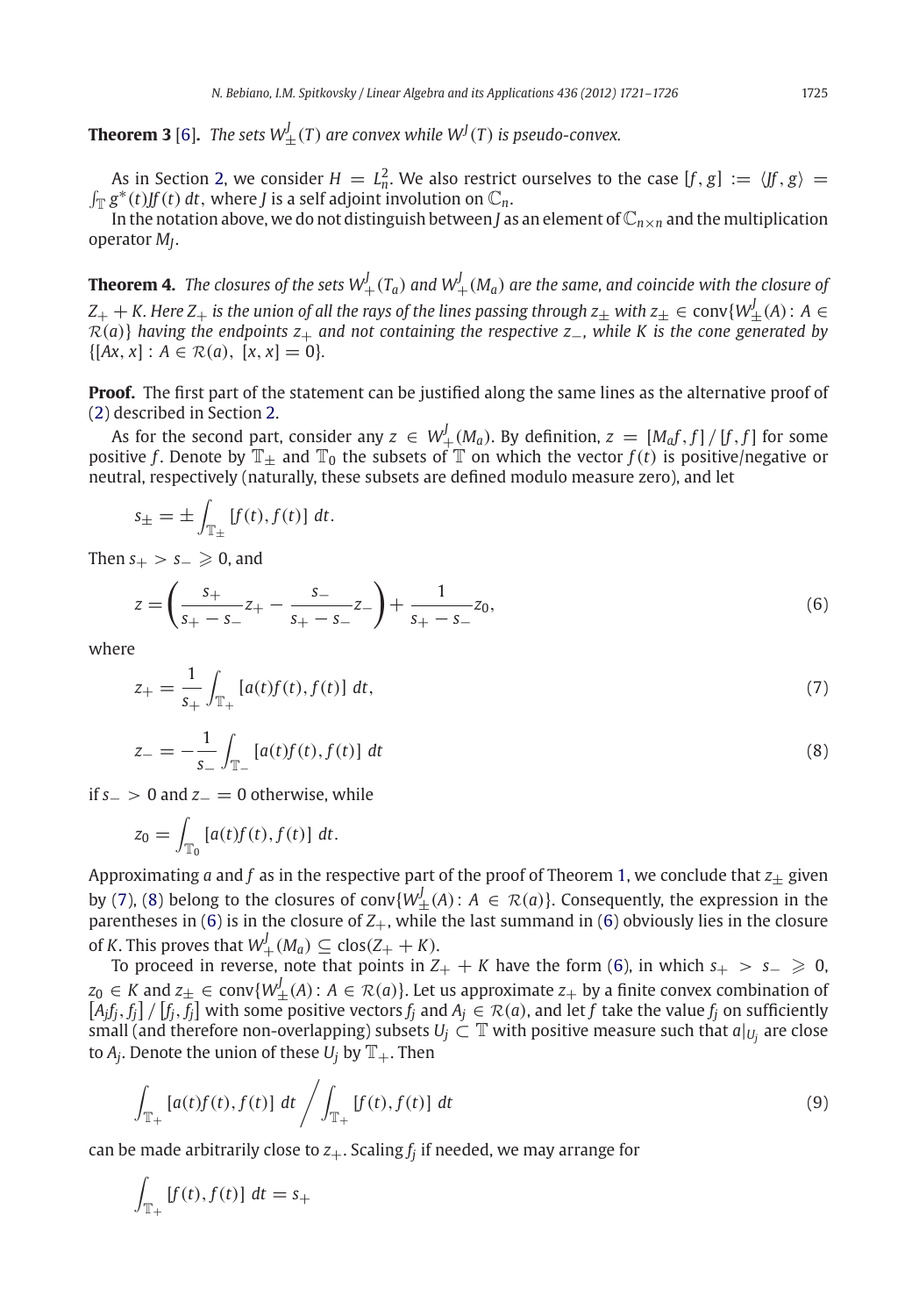**Theorem 3** [\[6\]](#page-6-5). The sets  $W^J_{\pm}(T)$  are convex while  $W^J(T)$  is pseudo-convex.

As in Section [2,](#page-2-0) we consider  $H = L_n^2$ . We also restrict ourselves to the case  $[f, g] := \langle f, g \rangle =$  $\int_{\mathbb{T}} g^*(t) f(t) dt$ , where *J* is a self adjoint involution on  $\mathbb{C}_n$ .

<span id="page-5-4"></span>In the notation above, we do not distinguish between *J* as an element of  $\mathbb{C}_{n \times n}$  and the multiplication operator *MJ*.

**Theorem 4.** The closures of the sets  $W_+^J(T_a)$  and  $W_+^J(M_a)$  are the same, and coincide with the closure of  $Z_+ + K$ . Here  $Z_+$  is the union of all the rays of the lines passing through  $z_\pm$  with  $z_\pm\in{\rm conv}\{W_\pm^f(A)\colon A\in{\mathbb R}\}$ *<sup>R</sup>*(*a*)} *having the endpoints z*<sup>+</sup> *and not containing the respective z*−*, while K is the cone generated by*  $\{[Ax, x] : A \in \mathcal{R}(a), [x, x] = 0\}.$ 

**Proof.** The first part of the statement can be justified along the same lines as the alternative proof of [\(2\)](#page-2-3) described in Section [2.](#page-2-0)

As for the second part, consider any  $z \, \in \, W^{J}_{+}(M_{a}).$  By definition,  $z \, = \, [M_{a}f,f] \, / \, [f,f]$  for some positive *f*. Denote by  $\mathbb{T}_+$  and  $\mathbb{T}_0$  the subsets of  $\mathbb{T}$  on which the vector  $f(t)$  is positive/negative or neutral, respectively (naturally, these subsets are defined modulo measure zero), and let

$$
s_{\pm} = \pm \int_{\mathbb{T}_{\pm}} [f(t), f(t)] dt.
$$

Then  $s_{+} > s_{-} \geq 0$ , and

<span id="page-5-2"></span>
$$
z = \left(\frac{s_+}{s_+ - s_-}z_+ - \frac{s_-}{s_+ - s_-}z_-\right) + \frac{1}{s_+ - s_-}z_0,
$$
\n<sup>(6)</sup>

<span id="page-5-1"></span><span id="page-5-0"></span>where

$$
z_{+} = \frac{1}{s_{+}} \int_{\mathbb{T}_{+}} [a(t)f(t), f(t)] dt,
$$
\n(7)

$$
z_{-} = -\frac{1}{s_{-}} \int_{\mathbb{T}_{-}} [a(t)f(t), f(t)] dt
$$
\n(8)

if *s*<sup>−</sup> > 0 and *z*<sup>−</sup> = 0 otherwise, while

$$
z_0 = \int_{\mathbb{T}_0} \left[ a(t)f(t), f(t) \right] dt.
$$

Approximating *a* and *f* as in the respective part of the proof of Theorem [1,](#page-2-2) we conclude that  $z_{+}$  given by [\(7\)](#page-5-0), [\(8\)](#page-5-1) belong to the closures of conv $\{W^J_{\pm}(A): A \in \mathcal{R}(a)\}$ . Consequently, the expression in the parentheses in  $(6)$  is in the closure of  $Z_+$ , while the last summand in  $(6)$  obviously lies in the closure of *K*. This proves that  $W_+^J(M_a) \subseteq \text{clos}(Z_+ + K)$ .

To proceed in reverse, note that points in  $Z_+ + K$  have the form [\(6\)](#page-5-2), in which  $s_+ > s_- \ge 0$ , *z*<sub>0</sub> ∈ *K* and *z*<sup>⊥</sup> ∈ conv{*W*<sup>*I*</sup><sub></sub> $\leq$  *A*): *A* ∈ *R*(*a*)}. Let us approximate *z*<sub>+</sub> by a finite convex combination of  $[A_j f_j, f_j] / [f_j, f_j]$  with some positive vectors  $f_j$  and  $A_j \in \mathcal{R}(a)$ , and let  $f$  take the value  $f_j$  on sufficiently small (and therefore non-overlapping) subsets  $U_i \subset \mathbb{T}$  with positive measure such that  $a|_{U_i}$  are close to  $A_i$ . Denote the union of these  $U_i$  by  $\mathbb{T}_+$ . Then

<span id="page-5-3"></span>
$$
\int_{\mathbb{T}_+} [a(t)f(t), f(t)] \, dt \bigg/ \int_{\mathbb{T}_+} [f(t), f(t)] \, dt \tag{9}
$$

can be made arbitrarily close to  $z_{+}$ . Scaling  $f_i$  if needed, we may arrange for

$$
\int_{\mathbb{T}_+} [f(t), f(t)] \, dt = s_+
$$